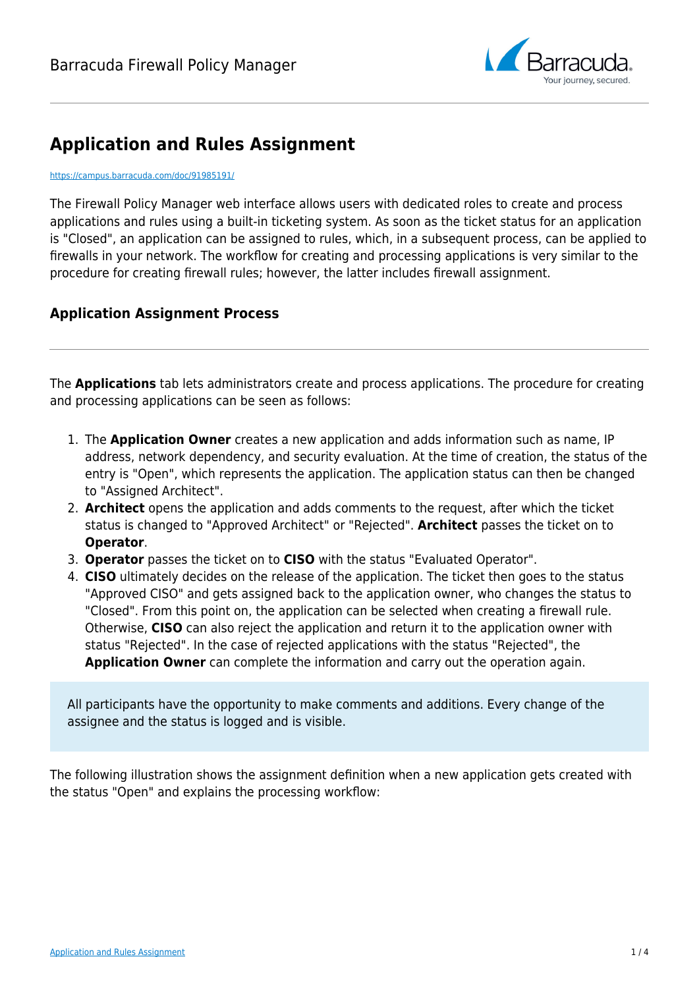

# **Application and Rules Assignment**

#### <https://campus.barracuda.com/doc/91985191/>

The Firewall Policy Manager web interface allows users with dedicated roles to create and process applications and rules using a built-in ticketing system. As soon as the ticket status for an application is "Closed", an application can be assigned to rules, which, in a subsequent process, can be applied to firewalls in your network. The workflow for creating and processing applications is very similar to the procedure for creating firewall rules; however, the latter includes firewall assignment.

### **Application Assignment Process**

The **Applications** tab lets administrators create and process applications. The procedure for creating and processing applications can be seen as follows:

- 1. The **Application Owner** creates a new application and adds information such as name, IP address, network dependency, and security evaluation. At the time of creation, the status of the entry is "Open", which represents the application. The application status can then be changed to "Assigned Architect".
- 2. **Architect** opens the application and adds comments to the request, after which the ticket status is changed to "Approved Architect" or "Rejected". **Architect** passes the ticket on to **Operator**.
- 3. **Operator** passes the ticket on to **CISO** with the status "Evaluated Operator".
- 4. **CISO** ultimately decides on the release of the application. The ticket then goes to the status "Approved CISO" and gets assigned back to the application owner, who changes the status to "Closed". From this point on, the application can be selected when creating a firewall rule. Otherwise, **CISO** can also reject the application and return it to the application owner with status "Rejected". In the case of rejected applications with the status "Rejected", the **Application Owner** can complete the information and carry out the operation again.

All participants have the opportunity to make comments and additions. Every change of the assignee and the status is logged and is visible.

The following illustration shows the assignment definition when a new application gets created with the status "Open" and explains the processing workflow: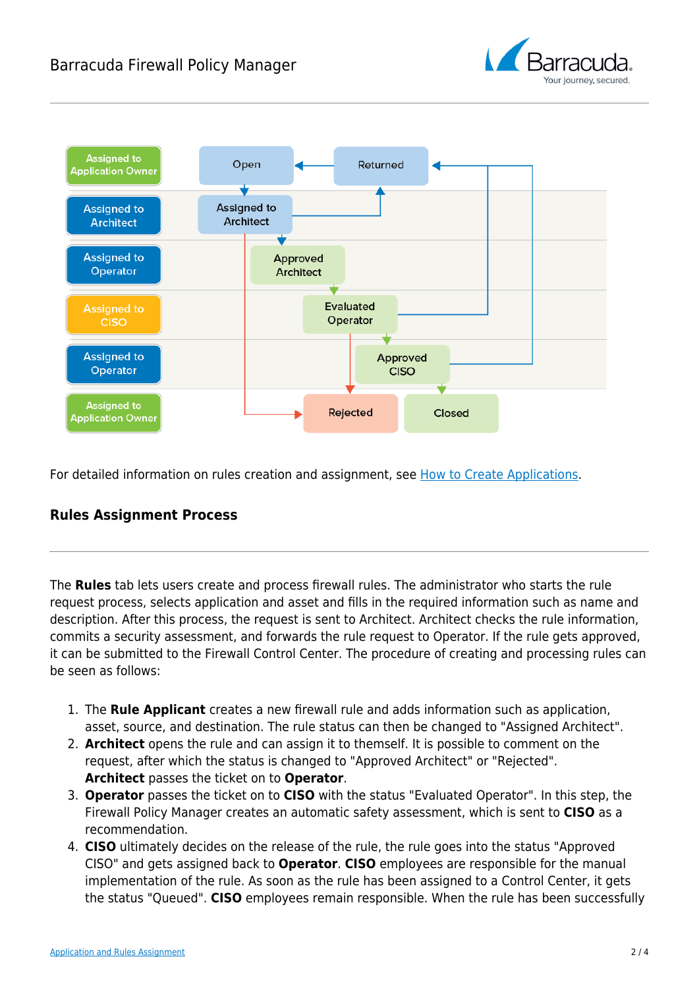## Barracuda Firewall Policy Manager





For detailed information on rules creation and assignment, see [How to Create Applications.](http://campus.barracuda.com/doc/91985193/)

### **Rules Assignment Process**

The **Rules** tab lets users create and process firewall rules. The administrator who starts the rule request process, selects application and asset and fills in the required information such as name and description. After this process, the request is sent to Architect. Architect checks the rule information, commits a security assessment, and forwards the rule request to Operator. If the rule gets approved, it can be submitted to the Firewall Control Center. The procedure of creating and processing rules can be seen as follows:

- 1. The **Rule Applicant** creates a new firewall rule and adds information such as application, asset, source, and destination. The rule status can then be changed to "Assigned Architect".
- 2. **Architect** opens the rule and can assign it to themself. It is possible to comment on the request, after which the status is changed to "Approved Architect" or "Rejected". **Architect** passes the ticket on to **Operator**.
- 3. **Operator** passes the ticket on to **CISO** with the status "Evaluated Operator". In this step, the Firewall Policy Manager creates an automatic safety assessment, which is sent to **CISO** as a recommendation.
- 4. **CISO** ultimately decides on the release of the rule, the rule goes into the status "Approved CISO" and gets assigned back to **Operator**. **CISO** employees are responsible for the manual implementation of the rule. As soon as the rule has been assigned to a Control Center, it gets the status "Queued". **CISO** employees remain responsible. When the rule has been successfully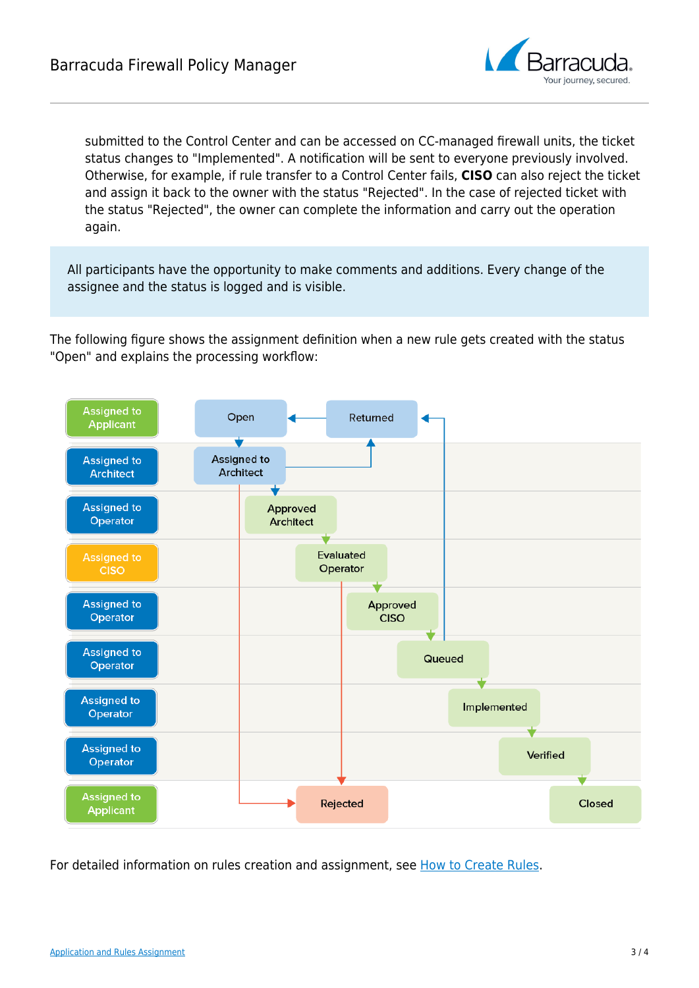

submitted to the Control Center and can be accessed on CC-managed firewall units, the ticket status changes to "Implemented". A notification will be sent to everyone previously involved. Otherwise, for example, if rule transfer to a Control Center fails, **CISO** can also reject the ticket and assign it back to the owner with the status "Rejected". In the case of rejected ticket with the status "Rejected", the owner can complete the information and carry out the operation again.

All participants have the opportunity to make comments and additions. Every change of the assignee and the status is logged and is visible.

The following figure shows the assignment definition when a new rule gets created with the status "Open" and explains the processing workflow:



For detailed information on rules creation and assignment, see [How to Create Rules](http://campus.barracuda.com/doc/91985195/).